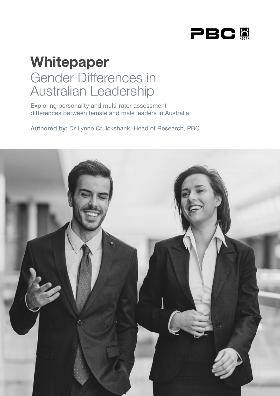

# Whitepaper Gender Differences in Australian Leadership

Exploring personality and multi-rater assessment differences between female and male leaders in Australia

Authored by: Dr Lynne Cruickshank, Head of Research, PBC

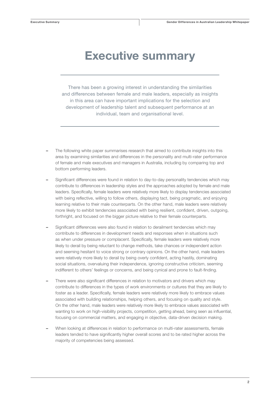## Executive summary

There has been a growing interest in understanding the similarities and differences between female and male leaders, especially as insights in this area can have important implications for the selection and development of leadership talent and subsequent performance at an individual, team and organisational level.

- The following white paper summarises research that aimed to contribute insights into this area by examining similarities and differences in the personality and multi-rater performance of female and male executives and managers in Australia, including by comparing top and bottom performing leaders.
- Significant differences were found in relation to day-to-day personality tendencies which may contribute to differences in leadership styles and the approaches adopted by female and male leaders. Specifically, female leaders were relatively more likely to display tendencies associated with being reflective, willing to follow others, displaying tact, being pragmatic, and enjoying learning relative to their male counterparts. On the other hand, male leaders were relatively more likely to exhibit tendencies associated with being resilient, confident, driven, outgoing, forthright, and focused on the bigger picture relative to their female counterparts.
- Significant differences were also found in relation to derailment tendencies which may contribute to differences in development needs and responses when in situations such as when under pressure or complacent. Specifically, female leaders were relatively more likely to derail by being reluctant to change methods, take chances or independent action and seeming hesitant to voice strong or contrary opinions. On the other hand, male leaders were relatively more likely to derail by being overly confident, acting hastily, dominating social situations, overvaluing their independence, ignoring constructive criticism, seeming indifferent to others' feelings or concerns, and being cynical and prone to fault-finding.
- There were also significant differences in relation to motivators and drivers which may contribute to differences in the types of work environments or cultures that they are likely to foster as a leader. Specifically, female leaders were relatively more likely to embrace values associated with building relationships, helping others, and focusing on quality and style. On the other hand, male leaders were relatively more likely to embrace values associated with wanting to work on high-visibility projects, competition, getting ahead, being seen as influential, focusing on commercial matters, and engaging in objective, data-driven decision making.
- When looking at differences in relation to performance on multi-rater assessments, female leaders tended to have significantly higher overall scores and to be rated higher across the majority of competencies being assessed.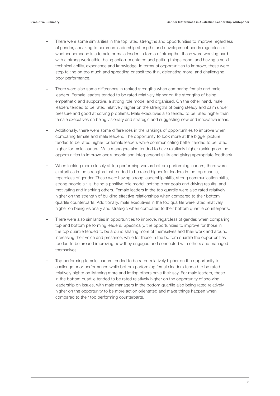- There were some similarities in the top rated strengths and opportunities to improve regardless of gender, speaking to common leadership strengths and development needs regardless of whether someone is a female or male leader. In terms of strengths, these were working hard with a strong work ethic, being action-orientated and getting things done, and having a solid technical ability, experience and knowledge. In terms of opportunities to improve, these were stop taking on too much and spreading oneself too thin, delegating more, and challenging poor performance.
- There were also some differences in ranked strengths when comparing female and male leaders. Female leaders tended to be rated relatively higher on the strengths of being empathetic and supportive, a strong role model and organised. On the other hand, male leaders tended to be rated relatively higher on the strengths of being steady and calm under pressure and good at solving problems. Male executives also tended to be rated higher than female executives on being visionary and strategic and suggesting new and innovative ideas.
- Additionally, there were some differences in the rankings of opportunities to improve when comparing female and male leaders. The opportunity to look more at the bigger picture tended to be rated higher for female leaders while communicating better tended to be rated higher for male leaders. Male managers also tended to have relatively higher rankings on the opportunities to improve one's people and interpersonal skills and giving appropriate feedback.
- When looking more closely at top performing versus bottom performing leaders, there were similarities in the strengths that tended to be rated higher for leaders in the top quartile, regardless of gender. These were having strong leadership skills, strong communication skills, strong people skills, being a positive role model, setting clear goals and driving results, and motivating and inspiring others. Female leaders in the top quartile were also rated relatively higher on the strength of building effective relationships when compared to their bottom quartile counterparts. Additionally, male executives in the top quartile were rated relatively higher on being visionary and strategic when compared to their bottom quartile counterparts.
- There were also similarities in opportunities to improve, regardless of gender, when comparing top and bottom performing leaders. Specifically, the opportunities to improve for those in the top quartile tended to be around sharing more of themselves and their work and around increasing their voice and presence, while for those in the bottom quartile the opportunities tended to be around improving how they engaged and connected with others and managed themselves.
- Top performing female leaders tended to be rated relatively higher on the opportunity to challenge poor performance while bottom performing female leaders tended to be rated relatively higher on listening more and letting others have their say. For male leaders, those in the bottom quartile tended to be rated relatively higher on the opportunity of showing leadership on issues, with male managers in the bottom quartile also being rated relatively higher on the opportunity to be more action orientated and make things happen when compared to their top performing counterparts.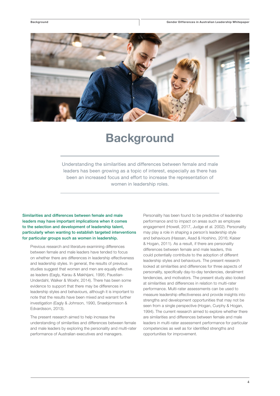

## **Background**

Understanding the similarities and differences between female and male leaders has been growing as a topic of interest, especially as there has been an increased focus and effort to increase the representation of women in leadership roles.

Similarities and differences between female and male leaders may have important implications when it comes to the selection and development of leadership talent, particularly when wanting to establish targeted interventions for particular groups such as women in leadership.

Previous research and literature examining differences between female and male leaders have tended to focus on whether there are differences in leadership effectiveness and leadership styles. In general, the results of previous studies suggest that women and men are equally effective as leaders (Eagly, Karau & Makhijani, 1995; Paustian-Underdahl, Walker & Woehr, 2014). There has been some evidence to support that there may be differences in leadership styles and behaviours, although it is important to note that the results have been mixed and warrant further investigation (Eagly & Johnson, 1990, Snaebjornsson & Edvardsson, 2013).

The present research aimed to help increase the understanding of similarities and differences between female and male leaders by exploring the personality and multi-rater performance of Australian executives and managers.

Personality has been found to be predictive of leadership performance and to impact on areas such as employee engagement (Howell, 2017, Judge et al. 2002). Personality may play a role in shaping a person's leadership style and behaviours (Hassan, Asad & Hoshino, 2016; Kaiser & Hogan, 2011). As a result, if there are personality differences between female and male leaders, this could potentially contribute to the adoption of different leadership styles and behaviours. The present research looked at similarities and differences for three aspects of personality, specifically day-to-day tendencies, derailment tendencies, and motivators. The present study also looked at similarities and differences in relation to multi-rater performance. Multi-rater assessments can be used to measure leadership effectiveness and provide insights into strengths and development opportunities that may not be seen from a single perspective (Hogan, Curphy & Hogan, 1994). The current research aimed to explore whether there are similarities and differences between female and male leaders in multi-rater assessment performance for particular competencies as well as for identified strengths and opportunities for improvement.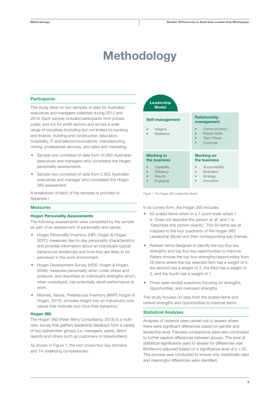## Methodology

#### **Participants**

This study drew on two samples of data for Australian executives and managers collected during 2012 and 2019. Each sample included participants from private, public and not-for-profit sectors and across a wide range of industries (including but not limited to) banking and finance, building and construction, education, hospitality, IT and telecommunications, manufacturing, mining, professional services, and sales and marketing.

- Sample one consisted of data from 45,885 Australian executives and managers who completed the Hogan personality assessments.
- Sample two consisted of data from 5,922 Australian executives and manager who completed the Hogan 360 assessment.

A breakdown of each of the samples is provided in Appendix I.

#### **Measures**

#### Hogan Personality Assessments

The following assessments were completed by the sample as part of an assessment of personality and values:

- Hogan Personality Inventory (HPI; Hogan & Hogan, 2007): measures day-to-day personality characteristics and provides information about an individual's typical behavioural tendencies and how they are likely to be perceived in the work environment.
- Hogan Development Survey (HDS; Hogan & Hogan, 2009): measures personality when under stress and pressure, and describes an individual's strengths which, when overplayed, can potentially derail performance at work.
- Motives, Values, Preferences Inventory (MVPI; Hogan & Hogan, 2010): provides insight into an individual's core values that motivate and drive their behaviour.

#### Hogan 360

The Hogan 360 (Peter Berry Consultancy, 2015) is a multirater survey that gathers leadership feedback from a variety of key stakeholder groups (i.e. managers, peers, direct reports and others such as customers or stakeholders).

As shown in Figure 1, the tool covers four key domains and 14 underlying competencies.

| Leadership<br><b>Model</b>                      |                                                                  |
|-------------------------------------------------|------------------------------------------------------------------|
| Self-management                                 | <b>Relationship</b><br>management                                |
| Integrity<br>Resilience                         | Communication<br>People Skills<br><b>Team Player</b><br>Customer |
| <b>Working in</b><br>the business               | <b>Working on</b><br>the business                                |
| Capability<br>Efficiency<br>Results<br>Engaging | Accountability<br>Motivation<br>Strategy<br>Innovation           |

Figure 1. The Hogan 360 Leadership Model

In its current form, the Hogan 360 includes:

- 50 scaled items rated on a 7-point scale where 1 is 'Does not describe this person at all' and 7 is 'Describes this person exactly'. The 50 items are all mapped to the four quadrants of the Hogan 360 Leadership Model and their corresponding sub-themes.
- Ranked items designed to identify the top four key strengths and top four key opportunities to improve. Raters choose the top four strengths/opportunities from 26 items where the top selected item has a weight of 4, the second has a weight of 3, the third has a weight of 2, and the fourth has a weight of 1.
- Three open-ended questions focusing on strengths, opportunities, and overused strengths

This study focuses on data from the scaled items and ranked strengths and opportunities to improve items.

#### Statistical Analyses

Analyses of variance were carried out to assess where there were significant differences based on gender and leadership level. Pairwise comparisons were also conducted to further explore differences between groups. The level of statistical significance used to assess for differences was Bonferroni-adjusted based on a significance level of p <.05. This process was conducted to ensure only statistically valid and meaningful differences were identified.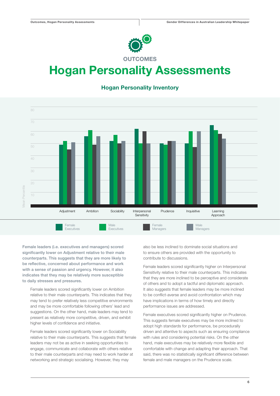

## Hogan Personality Assessments

### Mean Percentile Female Executives Male Executives Female Managers Male Managers  $10$ 20  $60$ 80 Adjustment Ambition Sociability Interpersonal **Sensitivity** Prudence Inquisitive Learning Approach

### Hogan Personality Inventory

Female leaders (i.e. executives and managers) scored significantly lower on Adjustment relative to their male counterparts. This suggests that they are more likely to be reflective, concerned about performance and work with a sense of passion and urgency. However, it also indicates that they may be relatively more susceptible to daily stresses and pressures.

Female leaders scored significantly lower on Ambition relative to their male counterparts. This indicates that they may tend to prefer relatively less competitive environments and may be more comfortable following others' lead and suggestions. On the other hand, male leaders may tend to present as relatively more competitive, driven, and exhibit higher levels of confidence and initiative.

Female leaders scored significantly lower on Sociability relative to their male counterparts. This suggests that female leaders may not be as active in seeking opportunities to engage, communicate and collaborate with others relative to their male counterparts and may need to work harder at networking and strategic socialising. However, they may

also be less inclined to dominate social situations and to ensure others are provided with the opportunity to contribute to discussions.

Female leaders scored significantly higher on Interpersonal Sensitivity relative to their male counterparts. This indicates that they are more inclined to be perceptive and considerate of others and to adopt a tactful and diplomatic approach. It also suggests that female leaders may be more inclined to be conflict-averse and avoid confrontation which may have implications in terms of how timely and directly performance issues are addressed.

Female executives scored significantly higher on Prudence. This suggests female executives may be more inclined to adopt high standards for performance, be procedurally driven and attentive to aspects such as ensuring compliance with rules and considering potential risks. On the other hand, male executives may be relatively more flexible and comfortable with change and adapting their approach. That said, there was no statistically significant difference between female and male managers on the Prudence scale.

6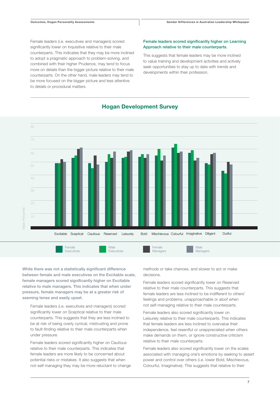Female leaders (i.e. executives and managers) scored significantly lower on Inquisitive relative to their male counterparts. This indicates that they may be more inclined to adopt a pragmatic approach to problem-solving, and combined with their higher Prudence, may tend to focus more on details than the bigger picture relative to their male counterparts. On the other hand, male leaders may tend to be more focused on the bigger picture and less attentive to details or procedural matters.

#### Female leaders scored significantly higher on Learning Approach relative to their male counterparts.

This suggests that female leaders may be more inclined to value training and development activities and actively seek opportunities to stay up to date with trends and developments within their profession.



### Hogan Development Survey

While there was not a statistically significant difference between female and male executives on the Excitable scale, female managers scored significantly higher on Excitable relative to male managers. This indicates that when under pressure, female managers may be at a greater risk of seeming tense and easily upset.

Female leaders (i.e. executives and managers) scored significantly lower on Sceptical relative to their male counterparts. This suggests that they are less inclined to be at risk of being overly cynical, mistrusting and prone to fault-finding relative to their male counterparts when under pressure.

Female leaders scored significantly higher on Cautious relative to their male counterparts. This indicates that female leaders are more likely to be concerned about potential risks or mistakes. It also suggests that when not-self managing they may be more reluctant to change methods or take chances, and slower to act or make decisions.

Female leaders scored significantly lower on Reserved relative to their male counterparts. This suggests that female leaders are less inclined to be indifferent to others' feelings and problems, unapproachable or aloof when not self-managing relative to their male counterparts.

Female leaders also scored significantly lower on Leisurely relative to their male counterparts. This indicates that female leaders are less inclined to overvalue their independence, feel resentful or unappreciated when others make demands on them, or ignore constructive criticism relative to their male counterparts.

Female leaders also scored significantly lower on the scales associated with managing one's emotions by seeking to assert power and control over others (i.e. lower Bold, Mischievous, Colourful, Imaginative). This suggests that relative to their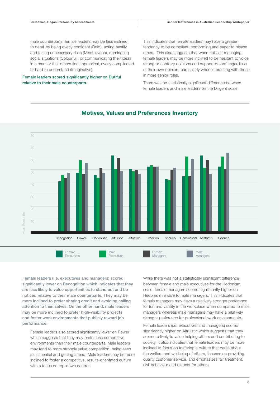male counterparts, female leaders may be less inclined to derail by being overly confident (Bold), acting hastily and taking unnecessary risks (Mischievous), dominating social situations (Colourful), or communicating their ideas in a manner that others find impractical, overly complicated or hard to understand (Imaginative).

#### Female leaders scored significantly higher on Dutiful relative to their male counterparts.

This indicates that female leaders may have a greater tendency to be compliant, conforming and eager to please others. This also suggests that when not self-managing, female leaders may be more inclined to be hesitant to voice strong or contrary opinions and support others' regardless of their own opinion, particularly when interacting with those in more senior roles.

There was no statistically significant difference between female leaders and male leaders on the Diligent scale.





Female leaders (i.e. executives and managers) scored significantly lower on Recognition which indicates that they are less likely to value opportunities to stand out and be noticed relative to their male counterparts. They may be more inclined to prefer sharing credit and avoiding calling attention to themselves. On the other hand, male leaders may be more inclined to prefer high-visibility projects and foster work environments that publicly reward job performance.

Female leaders also scored significantly lower on Power which suggests that they may prefer less competitive environments than their male counterparts. Male leaders may tend to more strongly value competition, being seen as influential and getting ahead. Male leaders may be more inclined to foster a competitive, results-orientated culture with a focus on top-down control.

While there was not a statistically significant difference between female and male executives for the Hedonism scale, female managers scored significantly higher on Hedonism relative to male managers. This indicates that female managers may have a relatively stronger preference for fun and variety in the workplace when compared to male managers whereas male managers may have a relatively stronger preference for professional work environments.

Female leaders (i.e. executives and managers) scored significantly higher on Altruistic which suggests that they are more likely to value helping others and contributing to society. It also indicates that female leaders may be more inclined to focus on fostering a culture that cares about the welfare and wellbeing of others, focuses on providing quality customer service, and emphasises fair treatment, civil behaviour and respect for others.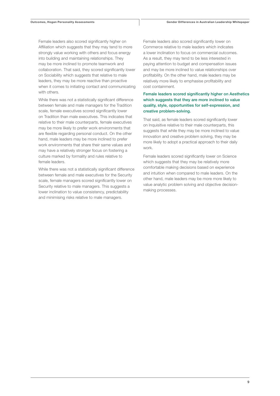Female leaders also scored significantly higher on Affiliation which suggests that they may tend to more strongly value working with others and focus energy into building and maintaining relationships. They may be more inclined to promote teamwork and collaboration. That said, they scored significantly lower on Sociability which suggests that relative to male leaders, they may be more reactive than proactive when it comes to initiating contact and communicating with others.

While there was not a statistically significant difference between female and male managers for the Tradition scale, female executives scored significantly lower on Tradition than male executives. This indicates that relative to their male counterparts, female executives may be more likely to prefer work environments that are flexible regarding personal conduct. On the other hand, male leaders may be more inclined to prefer work environments that share their same values and may have a relatively stronger focus on fostering a culture marked by formality and rules relative to female leaders.

While there was not a statistically significant difference between female and male executives for the Security scale, female managers scored significantly lower on Security relative to male managers. This suggests a lower inclination to value consistency, predictability and minimising risks relative to male managers.

Female leaders also scored significantly lower on Commerce relative to male leaders which indicates a lower inclination to focus on commercial outcomes. As a result, they may tend to be less interested in paying attention to budget and compensation issues and may be more inclined to value relationships over profitability. On the other hand, male leaders may be relatively more likely to emphasise profitability and cost containment.

#### Female leaders scored significantly higher on Aesthetics which suggests that they are more inclined to value quality, style, opportunities for self-expression, and creative problem-solving.

That said, as female leaders scored significantly lower on Inquisitive relative to their male counterparts, this suggests that while they may be more inclined to value innovation and creative problem solving, they may be more likely to adopt a practical approach to their daily work.

Female leaders scored significantly lower on Science which suggests that they may be relatively more comfortable making decisions based on experience and intuition when compared to male leaders. On the other hand, male leaders may be more more likely to value analytic problem solving and objective decisionmaking processes.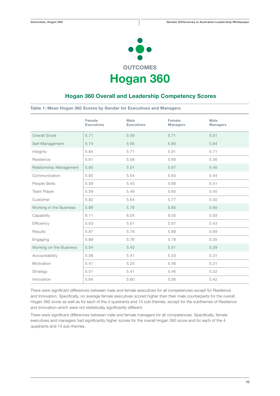

### Hogan 360 Overall and Leadership Competency Scores

Table 1: Mean Hogan 360 Scores by Gender for Executives and Managers

|                         | Female<br><b>Executives</b> | <b>Male</b><br><b>Executives</b> | Female<br><b>Managers</b> | <b>Male</b><br><b>Managers</b> |
|-------------------------|-----------------------------|----------------------------------|---------------------------|--------------------------------|
| Overall Score           | 5.71                        | 5.59                             | 5.71                      | 5.51                           |
| Self-Management         | 5.74                        | 5.65                             | 5.80                      | 5.64                           |
| Integrity               | 5.84                        | 5.71                             | 5.91                      | 5.71                           |
| Resilience              | 5.61                        | 5.58                             | 5.65                      | 5.56                           |
| Relationship Management | 5.65                        | 5.51                             | 5.67                      | 5.45                           |
| Communication           | 5.65                        | 5.54                             | 5.63                      | 5.44                           |
| People Skills           | 5.59                        | 5.43                             | 5.66                      | 5.41                           |
| Team Player             | 5.59                        | 5.48                             | 5.65                      | 5.45                           |
| Customer                | 5.82                        | 5.64                             | 5.77                      | 5.50                           |
| Working in the Business | 5.88                        | 5.78                             | 5.85                      | 5.65                           |
| Capability              | 6.11                        | 6.04                             | 6.05                      | 5.93                           |
| Efficiency              | 5.63                        | 5.51                             | 5.67                      | 5.43                           |
| Results                 | 5.87                        | 5.78                             | 5.89                      | 5.69                           |
| Engaging                | 5.89                        | 5.76                             | 5.78                      | 5.55                           |
| Working on the Business | 5.54                        | 5.42                             | 5.51                      | 5.29                           |
| Accountability          | 5.58                        | 5.41                             | 5.53                      | 5.31                           |
| Motivation              | 5.41                        | 5.25                             | 5.46                      | 5.21                           |
| Strategy                | 5.51                        | 5.41                             | 5.46                      | 5.22                           |
| Innovation              | 5.64                        | 5.60                             | 5.56                      | 5.42                           |

There were significant differences between male and female executives for all competencies except for Resilience and Innovation. Specifically, on average female executives scored higher than their male counterparts for the overall Hogan 360 score as well as for each of the 4 quadrants and 14 sub-themes, except for the subthemes of Resilience and Innovation which were not statistically significantly different.

There were significant differences between male and female managers for all competencies. Specifically, female executives and managers had significantly higher scores for the overall Hogan 360 score and for each of the 4 quadrants and 14 sub-themes.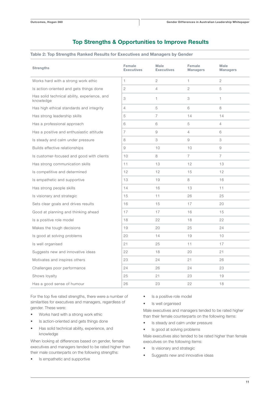### Top Strengths & Opportunities to Improve Results

#### Table 2: Top Strengths Ranked Results for Executives and Managers by Gender

| <b>Strengths</b>                                          | Female<br><b>Executives</b> | <b>Male</b><br><b>Executives</b> | Female<br><b>Managers</b> | <b>Male</b><br><b>Managers</b> |
|-----------------------------------------------------------|-----------------------------|----------------------------------|---------------------------|--------------------------------|
| Works hard with a strong work ethic                       | $\mathbf{1}$                | $\overline{2}$                   | $\mathbf{1}$              | $\overline{2}$                 |
| Is action-oriented and gets things done                   | 2                           | $\overline{4}$                   | 2                         | 5                              |
| Has solid technical ability, experience, and<br>knowledge | 3                           | 1                                | 3                         | $\mathbf{1}$                   |
| Has high ethical standards and integrity                  | $\overline{4}$              | 5                                | 6                         | 8                              |
| Has strong leadership skills                              | 5                           | $\overline{7}$                   | 14                        | 14                             |
| Has a professional approach                               | 6                           | 6                                | 5                         | $\overline{4}$                 |
| Has a positive and enthusiastic attitude                  | 7                           | 9                                | $\overline{4}$            | 6                              |
| Is steady and calm under pressure                         | 8                           | 3                                | 9                         | 3                              |
| Builds effective relationships                            | 9                           | 10                               | 10                        | 9                              |
| Is customer-focused and good with clients                 | 10                          | 8                                | $\overline{7}$            | $\overline{7}$                 |
| Has strong communication skills                           | 11                          | 13                               | 12                        | 13                             |
| Is competitive and determined                             | 12                          | 12                               | 15                        | 12                             |
| Is empathetic and supportive                              | 13                          | 19                               | 8                         | 16                             |
| Has strong people skills                                  | 14                          | 16                               | 13                        | 11                             |
| Is visionary and strategic                                | 15                          | 11                               | 26                        | 25                             |
| Sets clear goals and drives results                       | 16                          | 15                               | 17                        | 20                             |
| Good at planning and thinking ahead                       | 17                          | 17                               | 16                        | 15                             |
| Is a positive role model                                  | 18                          | 22                               | 18                        | 22                             |
| Makes the tough decisions                                 | 19                          | 20                               | 25                        | 24                             |
| Is good at solving problems                               | 20                          | 14                               | 19                        | 10                             |
| Is well organised                                         | 21                          | 25                               | 11                        | 17                             |
| Suggests new and innovative ideas                         | 22                          | 18                               | 20                        | 21                             |
| Motivates and inspires others                             | 23                          | 24                               | 21                        | 26                             |
| Challenges poor performance                               | 24                          | 26                               | 24                        | 23                             |
| Shows loyalty                                             | 25                          | 21                               | 23                        | 19                             |
| Has a good sense of humour                                | 26                          | 23                               | 22                        | 18                             |

For the top five rated strengths, there were a number of similarities for executives and managers, regardless of gender. These were:

- Works hard with a strong work ethic
- Is action-oriented and gets things done
- Has solid technical ability, experience, and knowledge

When looking at differences based on gender, female executives and managers tended to be rated higher than their male counterparts on the following strengths:

Is empathetic and supportive

- Is a positive role model
- Is well organised

Male executives and managers tended to be rated higher than their female counterparts on the following items:

- Is steady and calm under pressure
- Is good at solving problems

Male executives also tended to be rated higher than female executives on the following items:

- Is visionary and strategic
- Suggests new and innovative ideas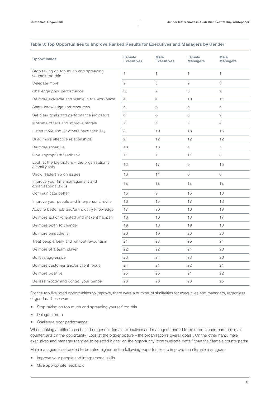| <b>Opportunities</b>                                            | Female<br><b>Executives</b> | Male<br><b>Executives</b> | Female<br><b>Managers</b> | Male<br><b>Managers</b> |
|-----------------------------------------------------------------|-----------------------------|---------------------------|---------------------------|-------------------------|
| Stop taking on too much and spreading<br>yourself too thin      | 1                           | $\mathbf{1}$              | 1                         | 1                       |
| Delegate more                                                   | $\overline{2}$              | 3                         | $\overline{2}$            | 3                       |
| Challenge poor performance                                      | 3                           | $\overline{2}$            | 3                         | $\overline{2}$          |
| Be more available and visible in the workplace                  | $\overline{4}$              | 4                         | 10                        | 11                      |
| Share knowledge and resources                                   | 5                           | 6                         | 5                         | 5                       |
| Set clear goals and performance indicators                      | 6                           | 8                         | 8                         | 9                       |
| Motivate others and improve morale                              | $\overline{7}$              | 5                         | $\overline{7}$            | $\overline{4}$          |
| Listen more and let others have their say                       | 8                           | 10                        | 13                        | 16                      |
| Build more effective relationships                              | 9                           | 12                        | 12                        | 12                      |
| Be more assertive                                               | 10                          | 13                        | $\overline{4}$            | $\overline{7}$          |
| Give appropriate feedback                                       | 11                          | $\overline{7}$            | 11                        | 8                       |
| Look at the big picture $-$ the organisation's<br>overall goals | 12                          | 17                        | $\mathcal G$              | 15                      |
| Show leadership on issues                                       | 13                          | 11                        | 6                         | 6                       |
| Improve your time management and<br>organisational skills       | 14                          | 14                        | 14                        | 14                      |
| Communicate better                                              | 15                          | 9                         | 15                        | 10                      |
| Improve your people and interpersonal skills                    | 16                          | 15                        | 17                        | 13                      |
| Acquire better job and/or industry knowledge                    | 17                          | 20                        | 16                        | 19                      |
| Be more action-oriented and make it happen                      | 18                          | 16                        | 18                        | 17                      |
| Be more open to change                                          | 19                          | 18                        | 19                        | 18                      |
| Be more empathetic                                              | 20                          | 19                        | 20                        | 20                      |
| Treat people fairly and without favouritism                     | 21                          | 23                        | 25                        | 24                      |
| Be more of a team player                                        | 22                          | 22                        | 24                        | 23                      |
| Be less aggressive                                              | 23                          | 24                        | 23                        | 26                      |
| Be more customer and/or client focus                            | 24                          | 21                        | 22                        | 21                      |
| Be more positive                                                | 25                          | 25                        | 21                        | 22                      |
| Be less moody and control your temper                           | 26                          | 26                        | 26                        | 25                      |

#### Table 3: Top Opportunities to Improve Ranked Results for Executives and Managers by Gender

For the top five rated opportunities to improve, there were a number of similarities for executives and managers, regardless of gender. These were:

- Stop taking on too much and spreading yourself too thin
- Delegate more
- Challenge poor performance

When looking at differences based on gender, female executives and managers tended to be rated higher than their male counterparts on the opportunity 'Look at the bigger picture – the organisation's overall goals'. On the other hand, male executives and managers tended to be rated higher on the opportunity 'communicate better' than their female counterparts:

Male managers also tended to be rated higher on the following opportunities to improve than female managers:

- Improve your people and interpersonal skills
- Give appropriate feedback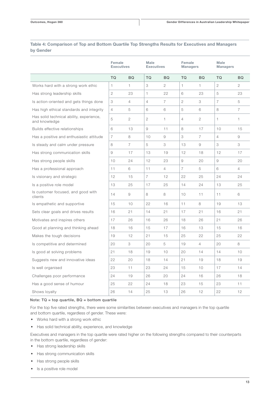### Table 4: Comparison of Top and Bottom Quartile Top Strengths Results for Executives and Managers by Gender

|                                                           | Female<br><b>Executives</b> |                       | <b>Male</b><br><b>Executives</b> |                | Female<br><b>Managers</b> |                | <b>Male</b><br><b>Managers</b> |                       |
|-----------------------------------------------------------|-----------------------------|-----------------------|----------------------------------|----------------|---------------------------|----------------|--------------------------------|-----------------------|
|                                                           | TQ                          | <b>BQ</b>             | <b>TQ</b>                        | <b>BQ</b>      | <b>TQ</b>                 | <b>BQ</b>      | <b>TQ</b>                      | <b>BQ</b>             |
| Works hard with a strong work ethic                       | 1                           | $\mathbf{1}$          | 3                                | $\overline{2}$ | $\mathbf{1}$              | 1              | 2                              | $\mathbf{2}^{\prime}$ |
| Has strong leadership skills                              | 2                           | 23                    | $\mathbf{1}$                     | 22             | 6                         | 23             | 5                              | 23                    |
| Is action-oriented and gets things done                   | 3                           | $\overline{4}$        | $\overline{4}$                   | $\overline{7}$ | $\mathbf{2}$              | 3              | $\overline{7}$                 | 5                     |
| Has high ethical standards and integrity                  | $\overline{4}$              | 5                     | 6                                | 6              | 5                         | 6              | 8                              | $\overline{7}$        |
| Has solid technical ability, experience,<br>and knowledge | 5                           | $\mathbf{2}^{\prime}$ | 2                                | $\mathbf{1}$   | $\overline{4}$            | $\overline{2}$ | $\mathbf{1}$                   | 1.                    |
| Builds effective relationships                            | 6                           | 13                    | 9                                | 11             | 8                         | 17             | 10                             | 15                    |
| Has a positive and enthusiastic attitude                  | 7                           | 8                     | 10                               | 9              | 3                         | 7              | $\overline{4}$                 | 9                     |
| Is steady and calm under pressure                         | 8                           | $\overline{7}$        | 5                                | 3              | 13                        | 9              | 3                              | 3                     |
| Has strong communication skills                           | 9                           | 17                    | 13                               | 19             | 12                        | 18             | 12                             | 17                    |
| Has strong people skills                                  | 10                          | 24                    | 12                               | 23             | 9                         | 20             | 9                              | 20                    |
| Has a professional approach                               | 11                          | 6                     | 11                               | $\overline{4}$ | $\overline{7}$            | 5              | 6                              | $\overline{4}$        |
| Is visionary and strategic                                | 12                          | 15                    | $\overline{7}$                   | 12             | 22                        | 25             | 24                             | 24                    |
| Is a positive role model                                  | 13                          | 25                    | 17                               | 25             | 14                        | 24             | 13                             | 25                    |
| Is customer focused, and good with<br>clients             | 14                          | 9                     | 8                                | 8              | 10                        | 11             | 11                             | 6                     |
| Is empathetic and supportive                              | 15                          | 10                    | 22                               | 16             | 11                        | 8              | 19                             | 13                    |
| Sets clear goals and drives results                       | 16                          | 21                    | 14                               | 21             | 17                        | 21             | 16                             | 21                    |
| Motivates and inspires others                             | 17                          | 26                    | 16                               | 26             | 18                        | 26             | 21                             | 26                    |
| Good at planning and thinking ahead                       | 18                          | 16                    | 15                               | 17             | 16                        | 13             | 15                             | 16                    |
| Makes the tough decisions                                 | 19                          | 12                    | 21                               | 15             | 25                        | 22             | 25                             | 22                    |
| Is competitive and determined                             | 20                          | 3                     | 20                               | 5              | 19                        | $\overline{4}$ | 20                             | 8                     |
| Is good at solving problems                               | 21                          | 18                    | 19                               | 10             | 20                        | 14             | 14                             | 10                    |
| Suggests new and innovative ideas                         | 22                          | 20                    | 18                               | 14             | 21                        | 19             | 18                             | 19                    |
| Is well organised                                         | 23                          | 11                    | 23                               | 24             | 15                        | 10             | 17                             | 14                    |
| Challenges poor performance                               | 24                          | 19                    | 26                               | 20             | 24                        | 16             | 26                             | 18                    |
| Has a good sense of humour                                | 25                          | 22                    | 24                               | 18             | 23                        | 15             | 23                             | 11                    |
| Shows loyalty                                             | 26                          | 14                    | 25                               | 13             | 26                        | 12             | 22                             | 12                    |

### Note: TQ = top quartile, BQ = bottom quartile

For the top five rated strengths, there were some similarities between executives and managers in the top quartile and bottom quartile, regardless of gender. These were:

- Works hard with a strong work ethic
- Has solid technical ability, experience, and knowledge

Executives and managers in the top quartile were rated higher on the following strengths compared to their counterparts in the bottom quartile, regardless of gender:

- Has strong leadership skills
- Has strong communication skills
- Has strong people skills
- Is a positive role model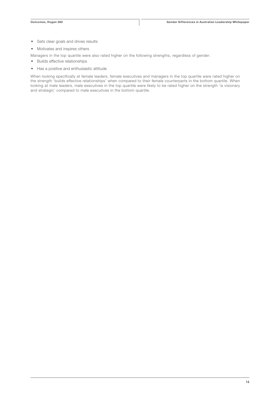- Sets clear goals and drives results
- Motivates and inspires others
- Managers in the top quartile were also rated higher on the following strengths, regardless of gender:
- Builds effective relationships
- Has a positive and enthusiastic attitude

When looking specifically at female leaders, female executives and managers in the top quartile were rated higher on the strength 'builds effective relationships' when compared to their female counterparts in the bottom quartile. When looking at male leaders, male executives in the top quartile were likely to be rated higher on the strength 'is visionary and strategic' compared to male executives in the bottom quartile.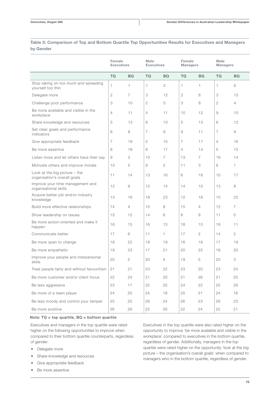### Table 5: Comparison of Top and Bottom Quartile Top Opportunities Results for Executives and Managers by Gender

|                                                                 | Female<br><b>Executives</b> |                | <b>Male</b><br><b>Executives</b> |                | Female<br><b>Managers</b> |                | <b>Male</b><br><b>Managers</b> |                |
|-----------------------------------------------------------------|-----------------------------|----------------|----------------------------------|----------------|---------------------------|----------------|--------------------------------|----------------|
|                                                                 | <b>TQ</b>                   | <b>BQ</b>      | <b>TQ</b>                        | <b>BQ</b>      | <b>TQ</b>                 | <b>BQ</b>      | TQ                             | <b>BQ</b>      |
| Stop taking on too much and spreading<br>yourself too thin      | 1                           | 1              | 1                                | 3              | $\mathbf{1}$              | 1              | $\mathbf{1}$                   | 6              |
| Delegate more                                                   | 2                           | $\overline{7}$ | 3                                | 12             | $\overline{2}$            | 6              | 3                              | 13             |
| Challenge poor performance                                      | 3                           | 10             | $\overline{2}$                   | 5              | 3                         | 8              | $\mathbf{2}$                   | $\overline{4}$ |
| Be more available and visible in the<br>workplace               | 4                           | 11             | 4                                | 11             | 10                        | 12             | 9                              | 10             |
| Share knowledge and resources                                   | 5                           | 13             | 6                                | 10             | 5                         | 13             | 6                              | 12             |
| Set clear goals and performance<br>indicators                   | 6                           | 8              | $\overline{7}$                   | 9              | 9                         | 11             | $\overline{7}$                 | 9              |
| Give appropriate feedback                                       | $\overline{7}$              | 19             | 5                                | 15             | $\overline{7}$            | 17             | $\overline{4}$                 | 16             |
| Be more assertive                                               | 8                           | 18             | 8                                | 17             | $\overline{4}$            | 14             | 5                              | 15             |
| Listen more and let others have their say                       | 9                           | 3              | 10                               | $\overline{7}$ | 13                        | 7              | 16                             | 14             |
| Motivate others and improve morale                              | 10                          | 5              | 9                                | 2              | 11                        | 3              | 8                              | 1              |
| Look at the big picture $-$ the<br>organisation's overall goals | 11                          | 14             | 13                               | 16             | 6                         | 16             | 10                             | 17             |
| Improve your time management and<br>organisational skills       | 12                          | 9              | 12                               | 14             | 14                        | 10             | 13                             | 8              |
| Acquire better job and/or industry<br>knowledge                 | 13                          | 16             | 18                               | 23             | 12                        | 18             | 15                             | 22             |
| Build more effective relationships                              | 14                          | $\overline{4}$ | 15                               | 8              | 15                        | $\overline{4}$ | 12                             | $\overline{7}$ |
| Show leadership on issues                                       | 15                          | 12             | 14                               | 6              | 8                         | 9              | 11                             | 5              |
| Be more action-oriented and make it<br>happen                   | 16                          | 15             | 16                               | 13             | 18                        | 15             | 18                             | 11             |
| Communicate better                                              | 17                          | 6              | 11                               | $\mathbf{1}$   | 17                        | 2              | 14                             | 2              |
| Be more open to change                                          | 18                          | 22             | 19                               | 19             | 16                        | 19             | 17                             | 19             |
| Be more empathetic                                              | 19                          | 23             | 17                               | 21             | 20                        | 25             | 19                             | 20             |
| Improve your people and interpersonal<br>skills                 | 20                          | 2              | 20                               | $\overline{4}$ | 19                        | 5              | 20                             | 3              |
| Treat people fairly and without favouritism                     | 21                          | 21             | 23                               | 22             | 23                        | 20             | 23                             | 24             |
| Be more customer and/or client focus                            | 22                          | 24             | 21                               | 20             | 21                        | 26             | 21                             | 25             |
| Be less aggressive                                              | 23                          | 17             | 22                               | 25             | 24                        | 22             | 25                             | 26             |
| Be more of a team player                                        | 24                          | 20             | 24                               | 18             | 25                        | 21             | 24                             | 18             |
| Be less moody and control your temper                           | 25                          | 25             | 26                               | 24             | 26                        | 23             | 26                             | 23             |
| Be more positive                                                | 26                          | 26             | 25                               | 26             | 22                        | 24             | 22                             | 21             |

#### Note: TQ = top quartile, BQ = bottom quartile

Executives and managers in the top quartile were rated higher on the following opportunities to improve when compared to their bottom quartile counterparts, regardless of gender:

- Delegate more
- Share knowledge and resources
- Give appropriate feedback
- Be more assertive

Executives in the top quartile were also rated higher on the opportunity to improve 'be more available and visible in the workplace' compared to executives in the bottom quartile, regardless of gender. Additionally, managers in the top quartile were rated higher on the opportunity 'look at the big picture – the organisation's overall goals' when compared to managers who in the bottom quartile, regardless of gender.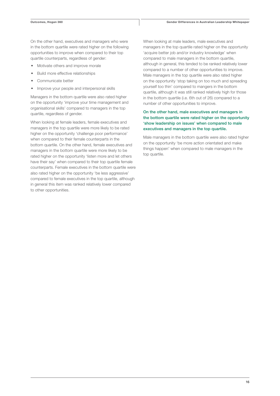On the other hand, executives and managers who were in the bottom quartile were rated higher on the following opportunities to improve when compared to their top quartile counterparts, regardless of gender:

- Motivate others and improve morale
- Build more effective relationships
- Communicate better
- Improve your people and interpersonal skills

Managers in the bottom quartile were also rated higher on the opportunity 'improve your time management and organisational skills' compared to managers in the top quartile, regardless of gender.

When looking at female leaders, female executives and managers in the top quartile were more likely to be rated higher on the opportunity 'challenge poor performance' when compared to their female counterparts in the bottom quartile. On the other hand, female executives and managers in the bottom quartile were more likely to be rated higher on the opportunity 'listen more and let others have their say' when compared to their top quartile female counterparts. Female executives in the bottom quartile were also rated higher on the opportunity 'be less aggressive' compared to female executives in the top quartile, although in general this item was ranked relatively lower compared to other opportunities.

When looking at male leaders, male executives and managers in the top quartile rated higher on the opportunity 'acquire better job and/or industry knowledge' when compared to male managers in the bottom quartile, although in general, this tended to be ranked relatively lower compared to a number of other opportunities to improve. Male managers in the top quartile were also rated higher on the opportunity 'stop taking on too much and spreading yourself too thin' compared to mangers in the bottom quartile, although it was still ranked relatively high for those in the bottom quartile (i.e. 6th out of 26) compared to a number of other opportunities to improve.

#### On the other hand, male executives and managers in the bottom quartile were rated higher on the opportunity 'show leadership on issues' when compared to male executives and managers in the top quartile.

Male managers in the bottom quartile were also rated higher on the opportunity 'be more action orientated and make things happen' when compared to male managers in the top quartile.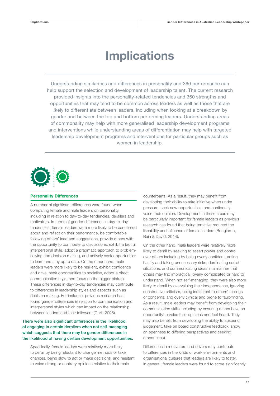## Implications

Understanding similarities and differences in personality and 360 performance can help support the selection and development of leadership talent. The current research provided insights into the personality-related tendencies and 360 strengths and opportunities that may tend to be common across leaders as well as those that are likely to differentiate between leaders, including when looking at a breakdown by gender and between the top and bottom performing leaders. Understanding areas of commonality may help with more generalised leadership development programs and interventions while understanding areas of differentiation may help with targeted leadership development programs and interventions for particular groups such as women in leadership.



#### Personality Differences

A number of significant differences were found when comparing female and male leaders on personality, including in relation to day-to-day tendencies, derailers and motivators. In terms of gender differences in day-to-day tendencies, female leaders were more likely to be concerned about and reflect on their performance, be comfortable following others' lead and suggestions, provide others with the opportunity to contribute to discussions, exhibit a tactful interpersonal style, adopt a pragmatic approach to problemsolving and decision making, and actively seek opportunities to learn and stay up to date. On the other hand, male leaders were more likely to be resilient, exhibit confidence and drive, seek opportunities to socialise, adopt a direct communication style, and focus on the bigger picture. These differences in day-to-day tendencies may contribute to differences in leadership styles and aspects such as decision making. For instance, previous research has found gender differences in relation to communication and interpersonal styles which can impact on the relationship between leaders and their followers (Carli, 2006).

### There were also significant differences in the likelihood of engaging in certain derailers when not self-managing which suggests that there may be gender differences in the likelihood of having certain development opportunities.

Specifically, female leaders were relatively more likely to derail by being reluctant to change methods or take chances, being slow to act or make decisions, and hesitant to voice strong or contrary opinions relative to their male

counterparts. As a result, they may benefit from developing their ability to take initiative when under pressure, seek new opportunities, and confidently voice their opinion. Development in these areas may be particularly important for female leaders as previous research has found that being tentative reduced the likeability and influence of female leaders (Bongiorno, Bain & David, 2014).

On the other hand, male leaders were relatively more likely to derail by seeking to assert power and control over others including by being overly confident, acting hastily and taking unnecessary risks, dominating social situations, and communicating ideas in a manner that others may find impractical, overly complicated or hard to understand. When not self-managing, they were also more likely to derail by overvaluing their independence, ignoring constructive criticism, being indifferent to others' feelings or concerns, and overly cynical and prone to fault-finding. As a result, male leaders may benefit from developing their communication skills including by ensuring others have an opportunity to voice their opinions and feel heard. They may also benefit from developing the ability to suspend judgement, take on board constructive feedback, show an openness to differing perspectives and seeking others' input.

Differences in motivators and drivers may contribute to differences in the kinds of work environments and organisational cultures that leaders are likely to foster. In general, female leaders were found to score significantly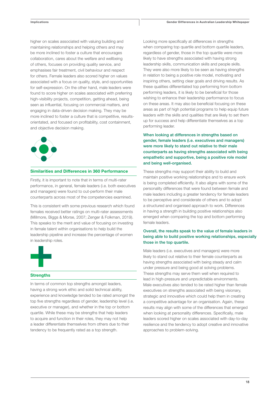higher on scales associated with valuing building and maintaining relationships and helping others and may be more inclined to foster a culture that encourages collaboration, cares about the welfare and wellbeing of others, focuses on providing quality service, and emphasises fair treatment, civil behaviour and respect for others. Female leaders also scored higher on values associated with a focus on quality, style, and opportunities for self-expression. On the other hand, male leaders were found to score higher on scales associated with preferring high-visibility projects, competition, getting ahead, being seen as influential, focusing on commercial matters, and engaging in data-driven decision making. They may be more inclined to foster a culture that is competitive, resultsorientated, and focused on profitability, cost containment, and objective decision making.



#### Similarities and Differences in 360 Performance

Firstly, it is important to note that in terms of multi-rater performance, in general, female leaders (i.e. both executives and managers) were found to out-perform their male counterparts across most of the competencies examined.

This is consistent with some previous research which found females received better ratings on multi-rater assessments (Millmore, Biggs & Morse, 2007; Zenger & Folkman, 2019). This speaks to the merit and value of focusing on investing in female talent within organisations to help build the leadership pipeline and increase the percentage of women in leadership roles.



#### **Strengths**

In terms of common top strengths amongst leaders, having a strong work ethic and solid technical ability, experience and knowledge tended to be rated amongst the top five strengths regardless of gender, leadership level (i.e. executive or manager), and whether in the top or bottom quartile. While these may be strengths that help leaders to acquire and function in their roles, they may not help a leader differentiate themselves from others due to their tendency to be frequently rated as a top strength.

Looking more specifically at differences in strengths when comparing top quartile and bottom quartile leaders, regardless of gender, those in the top quartile were more likely to have strengths associated with having strong leadership skills, communication skills and people skills. They were also more likely to be seen as having strengths in relation to being a positive role model, motivating and inspiring others, setting clear goals and driving results. As these qualities differentiated top performing from bottom performing leaders, it is likely to be beneficial for those wishing to enhance their leadership performance to focus on these areas. It may also be beneficial focusing on these areas as part of high potential programs to help equip future leaders with the skills and qualities that are likely to set them up for success and help differentiate themselves as a top performing leader.

When looking at differences in strengths based on gender, female leaders (i.e. executives and managers) were more likely to stand out relative to their male counterparts as having strengths associated with being empathetic and supportive, being a positive role model and being well-organised.

These strengths may support their ability to build and maintain positive working relationships and to ensure work is being completed efficiently. It also aligns with some of the personality differences that were found between female and male leaders including a greater tendency for female leaders to be perceptive and considerate of others and to adopt a structured and organised approach to work. Differences in having a strength in building positive relationships also emerged when comparing the top and bottom performing female leaders.

#### Overall, the results speak to the value of female leaders in being able to build positive working relationships, especially those in the top quartile.

Male leaders (i.e. executives and managers) were more likely to stand out relative to their female counterparts as having strengths associated with being steady and calm under pressure and being good at solving problems. These strengths may serve them well when required to lead in high-pressure and unpredictable environments. Male executives also tended to be rated higher than female executives on strengths associated with being visionary, strategic and innovative which could help them in creating a competitive advantage for an organisation. Again, these results may align with some of the differences that emerged when looking at personality differences. Specifically, male leaders scored higher on scales associated with day-to-day resilience and the tendency to adopt creative and innovative approaches to problem-solving.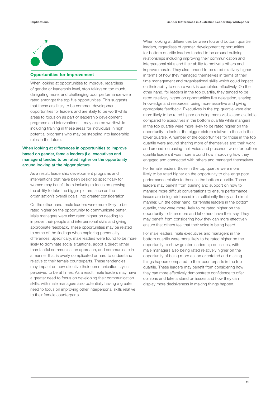

#### Opportunities for Improvement

When looking at opportunities to improve, regardless of gender or leadership level, stop taking on too much, delegating more, and challenging poor performance were rated amongst the top five opportunities. This suggests that these are likely to be common development opportunities for leaders and are likely to be worthwhile areas to focus on as part of leadership development programs and interventions. It may also be worthwhile including training in these areas for individuals in high potential programs who may be stepping into leadership roles in the future.

#### When looking at differences in opportunities to improve based on gender, female leaders (i.e. executives and managers) tended to be rated higher on the opportunity around looking at the bigger picture.

As a result, leadership development programs and interventions that have been designed specifically for women may benefit from including a focus on growing the ability to take the bigger picture, such as the organisation's overall goals, into greater consideration.

On the other hand, male leaders were more likely to be rated higher on the opportunity to communicate better. Male managers were also rated higher on needing to improve their people and interpersonal skills and giving appropriate feedback. These opportunities may be related to some of the findings when exploring personality differences. Specifically, male leaders were found to be more likely to dominate social situations, adopt a direct rather than tactful communication approach, and communicate in a manner that is overly complicated or hard to understand relative to their female counterparts. These tendencies may impact on how effective their communication style is perceived to be at times. As a result, male leaders may have a greater need to focus on developing their communication skills, with male managers also potentially having a greater need to focus on improving other interpersonal skills relative to their female counterparts.

When looking at differences between top and bottom quartile leaders, regardless of gender, development opportunities for bottom quartile leaders tended to be around building relationships including improving their communication and interpersonal skills and their ability to motivate others and improve morale. They also tended to be rated relatively higher in terms of how they managed themselves in terms of their time management and organisational skills which could impact on their ability to ensure work is completed effectively. On the other hand, for leaders in the top quartile, they tended to be rated relatively higher on opportunities like delegation, sharing knowledge and resources, being more assertive and giving appropriate feedback. Executives in the top quartile were also more likely to be rated higher on being more visible and available compared to executives in the bottom quartile while mangers in the top quartile were more likely to be rated higher on the opportunity to look at the bigger picture relative to those in the lower quartile. A number of the opportunities for those in the top quartile were around sharing more of themselves and their work and around increasing their voice and presence, while for bottom quartile leaders it was more around how improving how they engaged and connected with others and managed themselves.

For female leaders, those in the top quartile were more likely to be rated higher on the opportunity to challenge poor performance relative to those in the bottom quartile. These leaders may benefit from training and support on how to manage more difficult conversations to ensure performance issues are being addressed in a sufficiently timely and direct manner. On the other hand, for female leaders in the bottom quartile, they were more likely to be rated higher on the opportunity to listen more and let others have their say. They may benefit from considering how they can more effectively ensure that others feel that their voice is being heard.

For male leaders, male executives and managers in the bottom quartile were more likely to be rated higher on the opportunity to show greater leadership on issues, with male managers also being rated relatively higher on the opportunity of being more action orientated and making things happen compared to their counterparts in the top quartile. These leaders may benefit from considering how they can more effectively demonstrate confidence to offer opinions and take a stand on issues and how they can display more decisiveness in making things happen.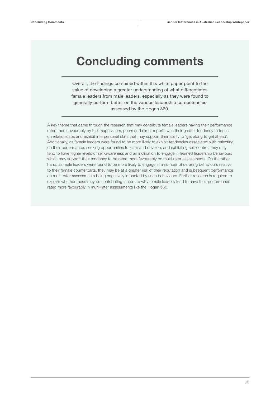## Concluding comments

Overall, the findings contained within this white paper point to the value of developing a greater understanding of what differentiates female leaders from male leaders, especially as they were found to generally perform better on the various leadership competencies assessed by the Hogan 360.

A key theme that came through the research that may contribute female leaders having their performance rated more favourably by their supervisors, peers and direct reports was their greater tendency to focus on relationships and exhibit interpersonal skills that may support their ability to 'get along to get ahead'. Additionally, as female leaders were found to be more likely to exhibit tendencies associated with reflecting on their performance, seeking opportunities to learn and develop, and exhibiting self-control, they may tend to have higher levels of self-awareness and an inclination to engage in learned leadership behaviours which may support their tendency to be rated more favourably on multi-rater assessments. On the other hand, as male leaders were found to be more likely to engage in a number of derailing behaviours relative to their female counterparts, they may be at a greater risk of their reputation and subsequent performance on multi-rater assessments being negatively impacted by such behaviours. Further research is required to explore whether these may be contributing factors to why female leaders tend to have their performance rated more favourably in multi-rater assessments like the Hogan 360.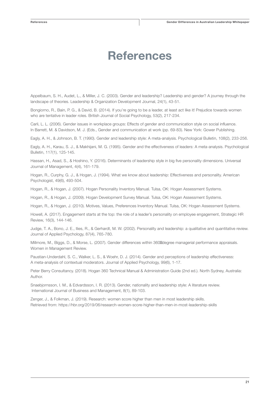## References

Appelbaum, S. H., Audet, L., & Miller, J. C. (2003). Gender and leadership? Leadership and gender? A journey through the landscape of theories. Leadership & Organization Development Journal, 24(1), 43-51.

Bongiorno, R., Bain, P. G., & David, B. (2014). If you're going to be a leader, at least act like it! Prejudice towards women who are tentative in leader roles. British Journal of Social Psychology, 53(2), 217-234.

Carli, L. L. (2006). Gender issues in workplace groups: Effects of gender and communication style on social influence. In Barrett, M. & Davidson, M. J. (Eds., Gender and communication at work (pp. 69-83). New York: Gower Publishing.

Eagly, A. H., & Johnson, B. T. (1990). Gender and leadership style: A meta-analysis. Psychological Bulletin, 108(2), 233-256.

Eagly, A. H., Karau, S. J., & Makhijani, M. G. (1995). Gender and the effectiveness of leaders: A meta-analysis. Psychological Bulletin, 117(1), 125-145.

Hassan, H., Asad, S., & Hoshino, Y. (2016). Determinants of leadership style in big five personality dimensions. Universal Journal of Management, 4(4), 161-179.

Hogan, R., Curphy, G. J., & Hogan, J. (1994). What we know about leadership: Effectiveness and personality. American Psychologist, 49(6), 493-504.

Hogan, R., & Hogan, J. (2007). Hogan Personality Inventory Manual. Tulsa, OK: Hogan Assessment Systems.

Hogan, R., & Hogan, J. (2009). Hogan Development Survey Manual. Tulsa, OK: Hogan Assessment Systems.

Hogan, R., & Hogan, J. (2010). Motives, Values, Preferences Inventory Manual. Tulsa, OK: Hogan Assessment Systems.

Howell, A. (2017). Engagement starts at the top: the role of a leader's personality on employee engagement, Strategic HR Review, 16(3), 144-146.

Judge, T. A., Bono, J. E., Ilies, R., & Gerhardt, M. W. (2002). Personality and leadership: a qualitative and quantitative review. Journal of Applied Psychology, 87(4), 765-780.

Millmore, M., Biggs, D., & Morse, L. (2007). Gender differences within 360 degree managerial performance appraisals. Women in Management Review.

Paustian-Underdahl, S. C., Walker, L. S., & Woehr, D. J. (2014). Gender and perceptions of leadership effectiveness: A meta-analysis of contextual moderators. Journal of Applied Psychology, 99(6), 1-17.

Peter Berry Consultancy. (2018). Hogan 360 Technical Manual & Administration Guide (2nd ed.). North Sydney, Australia: Author.

Snaebjornsson, I. M., & Edvardsson, I. R. (2013). Gender, nationality and leadership style: A literature review. International Journal of Business and Management, 8(1), 89-103.

Zenger, J., & Folkman, J. (2019). Research: women score higher than men in most leadership skills. Retrieved from: https://hbr.org/2019/06/research-women-score-higher-than-men-in-most-leadership-skills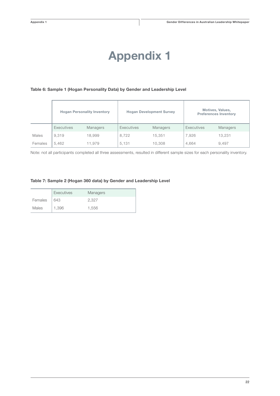## Appendix 1

#### Table 6: Sample 1 (Hogan Personality Data) by Gender and Leadership Level

|         |            | <b>Hogan Personality Inventory</b> | <b>Hogan Development Survey</b> |          | Motives, Values,<br><b>Preferences Inventory</b> |          |  |
|---------|------------|------------------------------------|---------------------------------|----------|--------------------------------------------------|----------|--|
|         | Executives | Managers                           | Executives                      | Managers | Executives                                       | Managers |  |
| Males   | 9.319      | 18.999                             | 8,722                           | 15,351   | 7,926                                            | 13,231   |  |
| Females | 5.462      | 11.979                             | 5,131                           | 10,308   | 4,664                                            | 9,497    |  |

Note: not all participants completed all three assessments, resulted in different sample sizes for each personality inventory.

#### Table 7: Sample 2 (Hogan 360 data) by Gender and Leadership Level

|         | Executives | <b>Managers</b> |
|---------|------------|-----------------|
| Females | 643        | 2.327           |
| Males   | 1,396      | 1.556           |